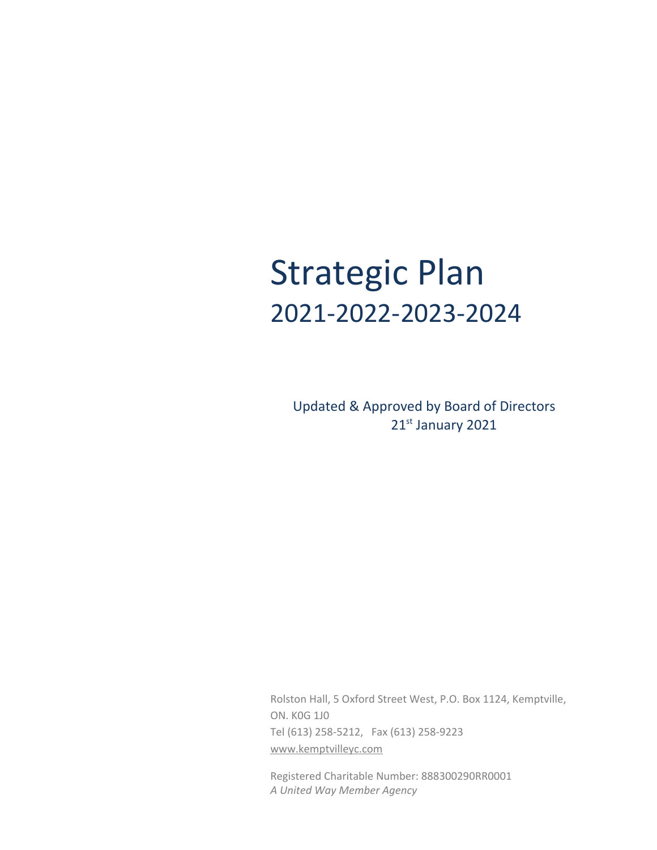# Strategic Plan 2021-2022-2023-2024

Updated & Approved by Board of Directors 21st January 2021

Rolston Hall, 5 Oxford Street West, P.O. Box 1124, Kemptville, ON. K0G 1J0 Tel (613) 258-5212, Fax (613) 258-9223 [www.kemptvilleyc.com](http://www.kemptvilleyc.com/)

Registered Charitable Number: 888300290RR0001 *A United Way Member Agency*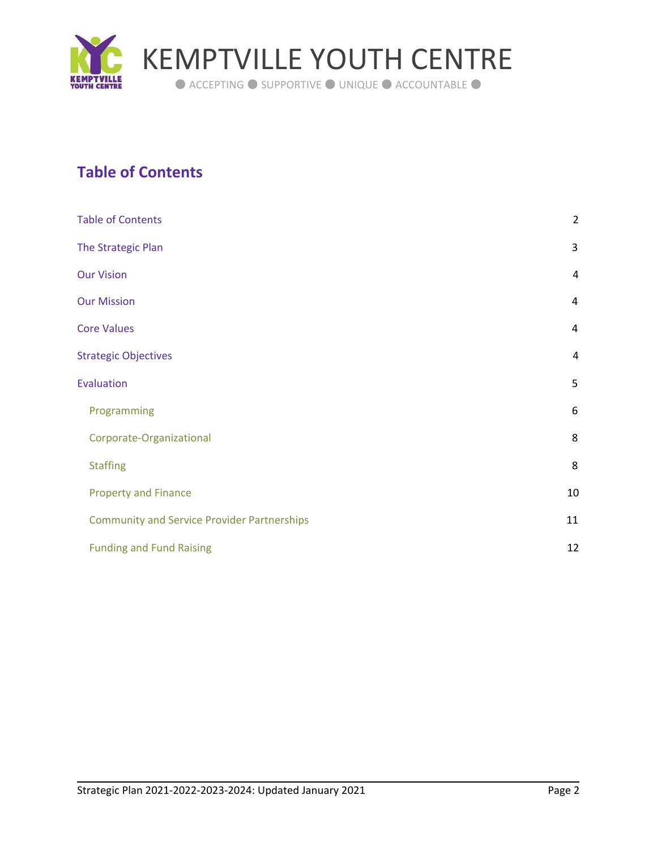

# <span id="page-1-0"></span>**Table of Contents**

| <b>Table of Contents</b>                           | $\overline{2}$ |
|----------------------------------------------------|----------------|
| The Strategic Plan                                 | 3              |
| <b>Our Vision</b>                                  | 4              |
| <b>Our Mission</b>                                 | 4              |
| <b>Core Values</b>                                 | 4              |
| <b>Strategic Objectives</b>                        | $\overline{4}$ |
| <b>Evaluation</b>                                  | 5              |
| Programming                                        | 6              |
| Corporate-Organizational                           | 8              |
| <b>Staffing</b>                                    | 8              |
| <b>Property and Finance</b>                        | 10             |
| <b>Community and Service Provider Partnerships</b> | 11             |
| <b>Funding and Fund Raising</b>                    | 12             |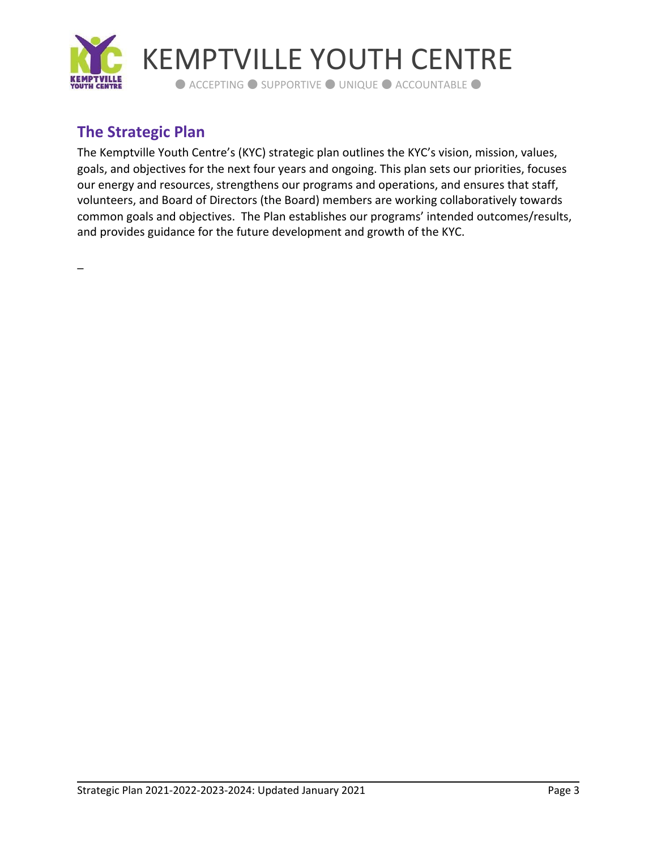

# <span id="page-2-0"></span>**The Strategic Plan**

The Kemptville Youth Centre's (KYC) strategic plan outlines the KYC's vision, mission, values, goals, and objectives for the next four years and ongoing. This plan sets our priorities, focuses our energy and resources, strengthens our programs and operations, and ensures that staff, volunteers, and Board of Directors (the Board) members are working collaboratively towards common goals and objectives. The Plan establishes our programs' intended outcomes/results, and provides guidance for the future development and growth of the KYC.

\_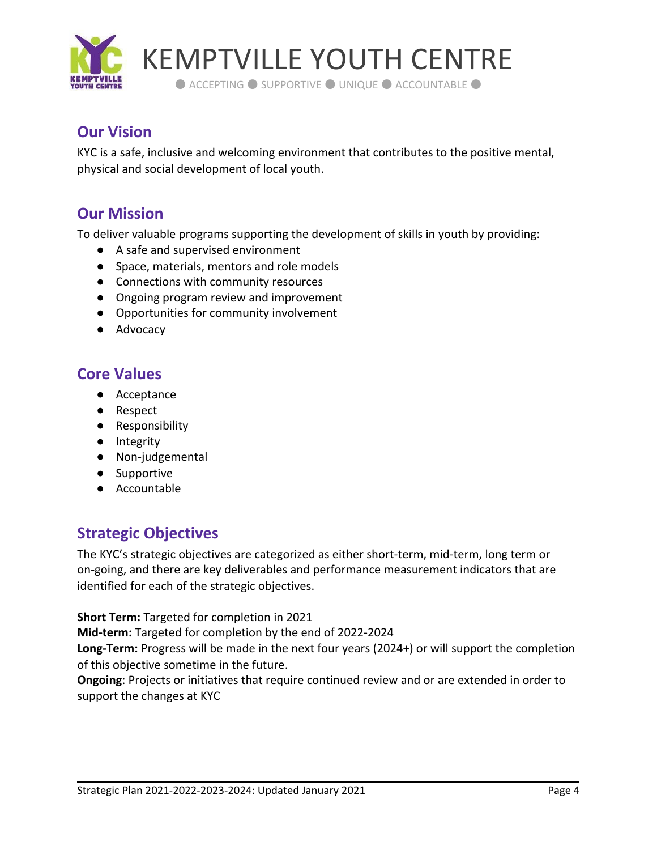

# <span id="page-3-0"></span>**Our Vision**

KYC is a safe, inclusive and welcoming environment that contributes to the positive mental, physical and social development of local youth.

# <span id="page-3-1"></span>**Our Mission**

To deliver valuable programs supporting the development of skills in youth by providing:

- A safe and supervised environment
- Space, materials, mentors and role models
- Connections with community resources
- Ongoing program review and improvement
- Opportunities for community involvement
- <span id="page-3-2"></span>● Advocacy

# **Core Values**

- Acceptance
- Respect
- Responsibility
- Integrity
- Non-judgemental
- Supportive
- <span id="page-3-3"></span>● Accountable

# **Strategic Objectives**

The KYC's strategic objectives are categorized as either short-term, mid-term, long term or on-going, and there are key deliverables and performance measurement indicators that are identified for each of the strategic objectives.

**Short Term:** Targeted for completion in 2021

**Mid-term:** Targeted for completion by the end of 2022-2024

**Long-Term:** Progress will be made in the next four years (2024+) or will support the completion of this objective sometime in the future.

**Ongoing**: Projects or initiatives that require continued review and or are extended in order to support the changes at KYC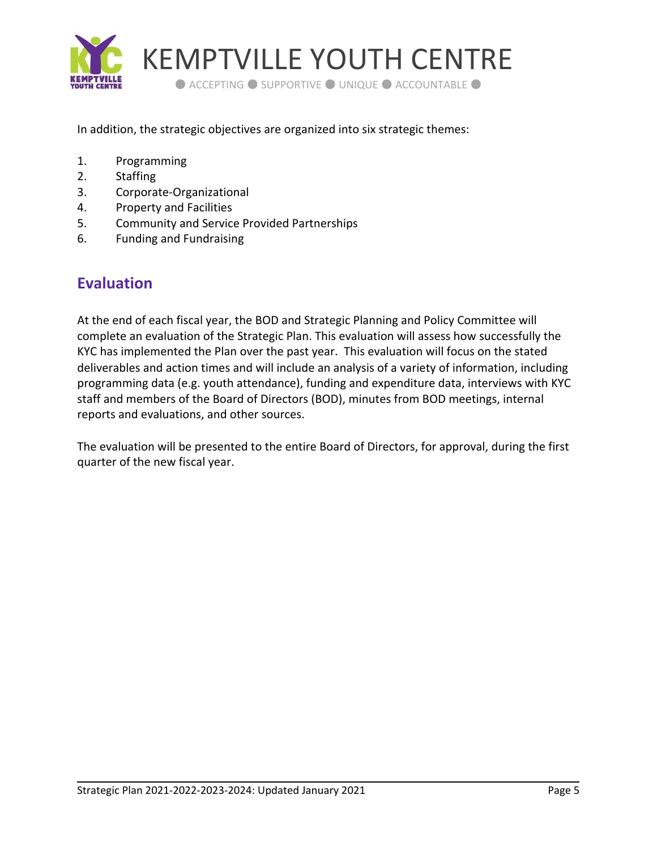

In addition, the strategic objectives are organized into six strategic themes:

- 1. Programming
- 2. Staffing
- 3. Corporate-Organizational
- 4. Property and Facilities
- 5. Community and Service Provided Partnerships
- <span id="page-4-0"></span>6. Funding and Fundraising

# **Evaluation**

At the end of each fiscal year, the BOD and Strategic Planning and Policy Committee will complete an evaluation of the Strategic Plan. This evaluation will assess how successfully the KYC has implemented the Plan over the past year. This evaluation will focus on the stated deliverables and action times and will include an analysis of a variety of information, including programming data (e.g. youth attendance), funding and expenditure data, interviews with KYC staff and members of the Board of Directors (BOD), minutes from BOD meetings, internal reports and evaluations, and other sources.

The evaluation will be presented to the entire Board of Directors, for approval, during the first quarter of the new fiscal year.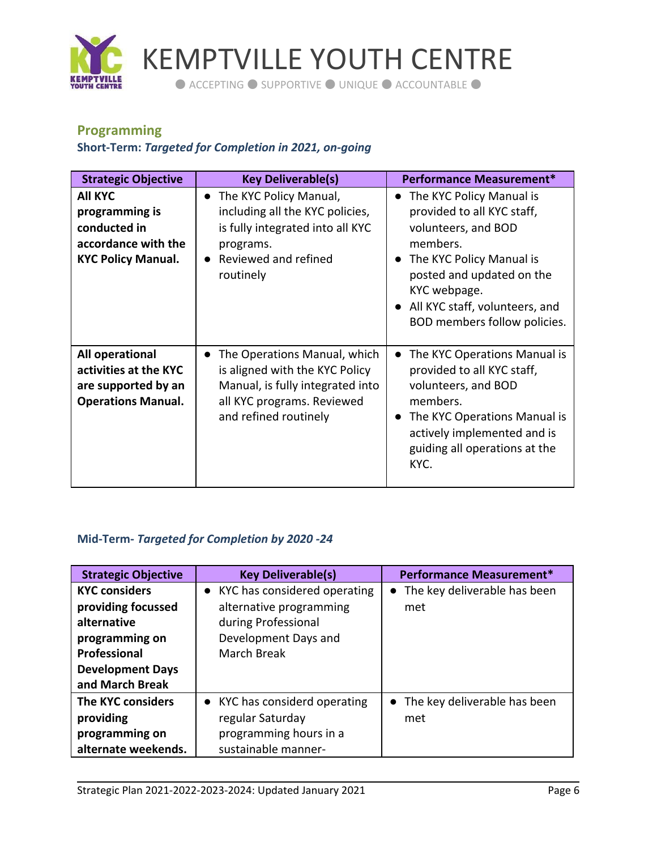

# <span id="page-5-0"></span>**Programming**

## **Short-Term:** *Targeted for Completion in 2021, on-going*

| <b>Strategic Objective</b>                                                                           | <b>Key Deliverable(s)</b>                                                                                                                                    | <b>Performance Measurement*</b>                                                                                                                                                                                                                                |
|------------------------------------------------------------------------------------------------------|--------------------------------------------------------------------------------------------------------------------------------------------------------------|----------------------------------------------------------------------------------------------------------------------------------------------------------------------------------------------------------------------------------------------------------------|
| <b>AII KYC</b><br>programming is<br>conducted in<br>accordance with the<br><b>KYC Policy Manual.</b> | The KYC Policy Manual,<br>$\bullet$<br>including all the KYC policies,<br>is fully integrated into all KYC<br>programs.<br>Reviewed and refined<br>routinely | The KYC Policy Manual is<br>$\bullet$<br>provided to all KYC staff,<br>volunteers, and BOD<br>members.<br>The KYC Policy Manual is<br>$\bullet$<br>posted and updated on the<br>KYC webpage.<br>All KYC staff, volunteers, and<br>BOD members follow policies. |
| All operational<br>activities at the KYC<br>are supported by an<br><b>Operations Manual.</b>         | The Operations Manual, which<br>is aligned with the KYC Policy<br>Manual, is fully integrated into<br>all KYC programs. Reviewed<br>and refined routinely    | The KYC Operations Manual is<br>$\bullet$<br>provided to all KYC staff,<br>volunteers, and BOD<br>members.<br>The KYC Operations Manual is<br>$\bullet$<br>actively implemented and is<br>guiding all operations at the<br>KYC.                                |

## **Mid-Term-** *Targeted for Completion by 2020 -24*

| <b>Strategic Objective</b> | <b>Key Deliverable(s)</b>      | <b>Performance Measurement*</b> |
|----------------------------|--------------------------------|---------------------------------|
| <b>KYC considers</b>       | • KYC has considered operating | • The key deliverable has been  |
| providing focussed         | alternative programming        | met                             |
| alternative                | during Professional            |                                 |
| programming on             | Development Days and           |                                 |
| <b>Professional</b>        | <b>March Break</b>             |                                 |
| <b>Development Days</b>    |                                |                                 |
| and March Break            |                                |                                 |
| The KYC considers          | • KYC has considerd operating  | • The key deliverable has been  |
| providing                  | regular Saturday               | met                             |
| programming on             | programming hours in a         |                                 |
| alternate weekends.        | sustainable manner-            |                                 |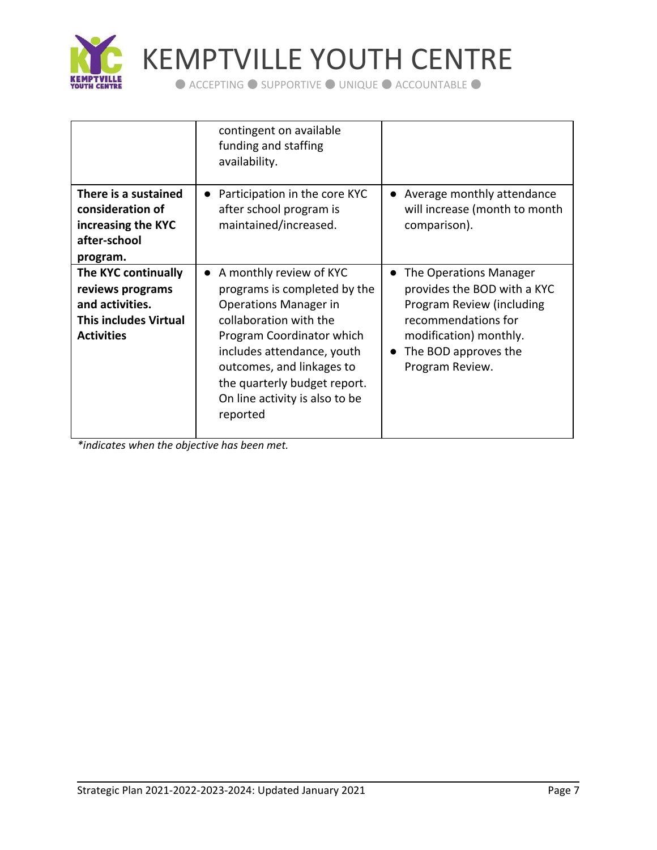

KEMPTVILLE YOUTH CENTRE

● ACCEPTING ● SUPPORTIVE ● UNIQUE ● ACCOUNTABLE ●

|                                                                                                                 | contingent on available<br>funding and staffing<br>availability.                                                                                                                                                                                                                              |                                                                                                                                                                                |
|-----------------------------------------------------------------------------------------------------------------|-----------------------------------------------------------------------------------------------------------------------------------------------------------------------------------------------------------------------------------------------------------------------------------------------|--------------------------------------------------------------------------------------------------------------------------------------------------------------------------------|
| There is a sustained<br>consideration of<br>increasing the KYC<br>after-school<br>program.                      | Participation in the core KYC<br>$\bullet$<br>after school program is<br>maintained/increased.                                                                                                                                                                                                | Average monthly attendance<br>will increase (month to month<br>comparison).                                                                                                    |
| The KYC continually<br>reviews programs<br>and activities.<br><b>This includes Virtual</b><br><b>Activities</b> | A monthly review of KYC<br>$\bullet$<br>programs is completed by the<br>Operations Manager in<br>collaboration with the<br>Program Coordinator which<br>includes attendance, youth<br>outcomes, and linkages to<br>the quarterly budget report.<br>On line activity is also to be<br>reported | The Operations Manager<br>provides the BOD with a KYC<br>Program Review (including<br>recommendations for<br>modification) monthly.<br>The BOD approves the<br>Program Review. |

*\*indicates when the objective has been met.*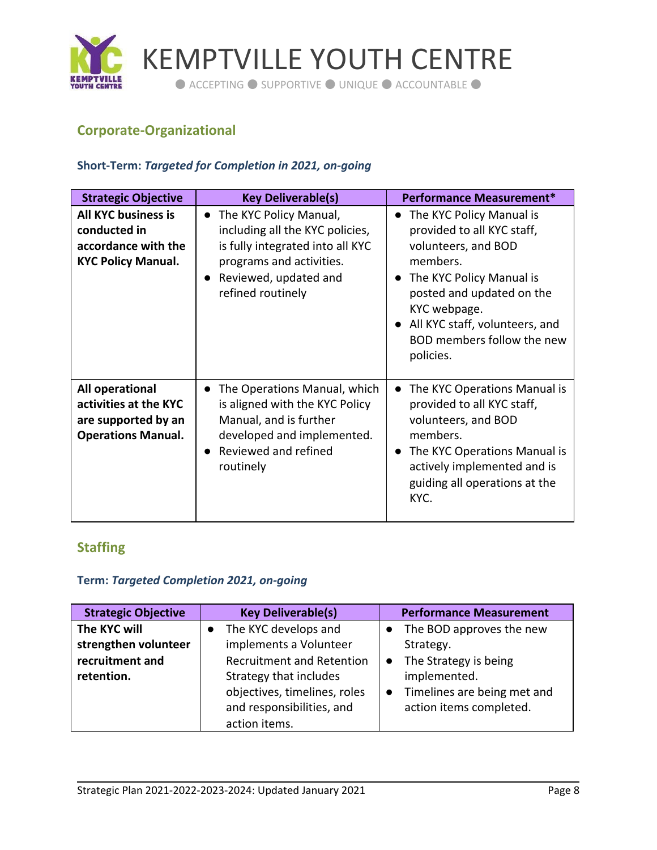

# <span id="page-7-0"></span>**Corporate-Organizational**

#### **Short-Term:** *Targeted for Completion in 2021, on-going*

| <b>Strategic Objective</b>                                                                     | <b>Key Deliverable(s)</b>                                                                                                                                                            | Performance Measurement*                                                                                                                                                                                                                                     |
|------------------------------------------------------------------------------------------------|--------------------------------------------------------------------------------------------------------------------------------------------------------------------------------------|--------------------------------------------------------------------------------------------------------------------------------------------------------------------------------------------------------------------------------------------------------------|
| <b>All KYC business is</b><br>conducted in<br>accordance with the<br><b>KYC Policy Manual.</b> | The KYC Policy Manual,<br>$\bullet$<br>including all the KYC policies,<br>is fully integrated into all KYC<br>programs and activities.<br>Reviewed, updated and<br>refined routinely | The KYC Policy Manual is<br>provided to all KYC staff,<br>volunteers, and BOD<br>members.<br>The KYC Policy Manual is<br>$\bullet$<br>posted and updated on the<br>KYC webpage.<br>All KYC staff, volunteers, and<br>BOD members follow the new<br>policies. |
| All operational<br>activities at the KYC<br>are supported by an<br><b>Operations Manual.</b>   | The Operations Manual, which<br>is aligned with the KYC Policy<br>Manual, and is further<br>developed and implemented.<br>Reviewed and refined<br>routinely                          | The KYC Operations Manual is<br>$\bullet$<br>provided to all KYC staff,<br>volunteers, and BOD<br>members.<br>The KYC Operations Manual is<br>$\bullet$<br>actively implemented and is<br>guiding all operations at the<br>KYC.                              |

## <span id="page-7-1"></span>**Staffing**

## **Term:** *Targeted Completion 2021, on-going*

| <b>Strategic Objective</b>           | <b>Key Deliverable(s)</b>                              | <b>Performance Measurement</b>              |
|--------------------------------------|--------------------------------------------------------|---------------------------------------------|
| The KYC will<br>strengthen volunteer | The KYC develops and<br>implements a Volunteer         | The BOD approves the new<br>Strategy.       |
| recruitment and                      | <b>Recruitment and Retention</b>                       | • The Strategy is being                     |
| retention.                           | Strategy that includes<br>objectives, timelines, roles | implemented.<br>Timelines are being met and |
|                                      | and responsibilities, and                              | action items completed.                     |
|                                      | action items.                                          |                                             |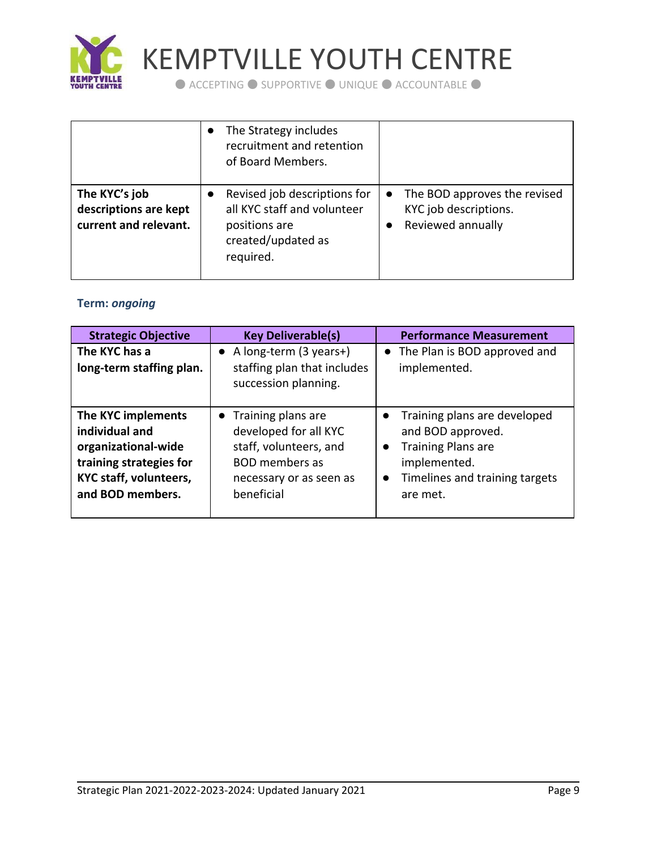

KEMPTVILLE YOUTH CENTRE

● ACCEPTING ● SUPPORTIVE ● UNIQUE ● ACCOUNTABLE ●

|                                                                 | The Strategy includes<br>recruitment and retention<br>of Board Members.                                         |                                                                              |
|-----------------------------------------------------------------|-----------------------------------------------------------------------------------------------------------------|------------------------------------------------------------------------------|
| The KYC's job<br>descriptions are kept<br>current and relevant. | Revised job descriptions for<br>all KYC staff and volunteer<br>positions are<br>created/updated as<br>required. | • The BOD approves the revised<br>KYC job descriptions.<br>Reviewed annually |

## **Term:** *ongoing*

| <b>Strategic Objective</b>                                                                                                                  | <b>Key Deliverable(s)</b>                                                                                                                 | <b>Performance Measurement</b>                                                                                                                                         |
|---------------------------------------------------------------------------------------------------------------------------------------------|-------------------------------------------------------------------------------------------------------------------------------------------|------------------------------------------------------------------------------------------------------------------------------------------------------------------------|
| The KYC has a<br>long-term staffing plan.                                                                                                   | A long-term (3 years+)<br>staffing plan that includes<br>succession planning.                                                             | • The Plan is BOD approved and<br>implemented.                                                                                                                         |
| The KYC implements<br>individual and<br>organizational-wide<br>training strategies for<br><b>KYC staff, volunteers,</b><br>and BOD members. | • Training plans are<br>developed for all KYC<br>staff, volunteers, and<br><b>BOD</b> members as<br>necessary or as seen as<br>beneficial | Training plans are developed<br>and BOD approved.<br><b>Training Plans are</b><br>$\bullet$<br>implemented.<br>Timelines and training targets<br>$\bullet$<br>are met. |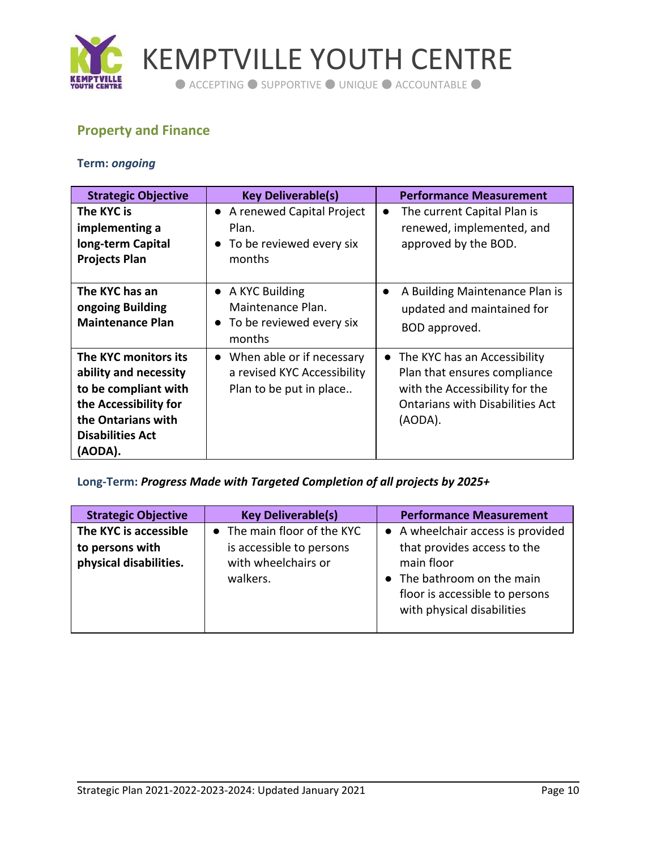

KEMPTVILLE YOUTH CENTRE

● ACCEPTING ● SUPPORTIVE ● UNIQUE ● ACCOUNTABLE ●

# <span id="page-9-0"></span>**Property and Finance**

#### **Term:** *ongoing*

| <b>Strategic Objective</b>                                                                                                                                 | <b>Key Deliverable(s)</b>                                                             | <b>Performance Measurement</b>                                                                                                                                   |
|------------------------------------------------------------------------------------------------------------------------------------------------------------|---------------------------------------------------------------------------------------|------------------------------------------------------------------------------------------------------------------------------------------------------------------|
| The KYC is<br>implementing a<br>long-term Capital<br><b>Projects Plan</b>                                                                                  | • A renewed Capital Project<br>Plan.<br>To be reviewed every six<br>months            | The current Capital Plan is<br>$\bullet$<br>renewed, implemented, and<br>approved by the BOD.                                                                    |
| The KYC has an<br>ongoing Building<br><b>Maintenance Plan</b>                                                                                              | • A KYC Building<br>Maintenance Plan.<br>To be reviewed every six<br>months           | A Building Maintenance Plan is<br>$\bullet$<br>updated and maintained for<br>BOD approved.                                                                       |
| The KYC monitors its<br>ability and necessity<br>to be compliant with<br>the Accessibility for<br>the Ontarians with<br><b>Disabilities Act</b><br>(AODA). | • When able or if necessary<br>a revised KYC Accessibility<br>Plan to be put in place | The KYC has an Accessibility<br>$\bullet$<br>Plan that ensures compliance<br>with the Accessibility for the<br><b>Ontarians with Disabilities Act</b><br>(AODA). |

**Long-Term:** *Progress Made with Targeted Completion of all projects by 2025+*

| <b>Strategic Objective</b>                                         | <b>Key Deliverable(s)</b>                                                                  | <b>Performance Measurement</b>                                                                                                                                               |
|--------------------------------------------------------------------|--------------------------------------------------------------------------------------------|------------------------------------------------------------------------------------------------------------------------------------------------------------------------------|
| The KYC is accessible<br>to persons with<br>physical disabilities. | • The main floor of the KYC<br>is accessible to persons<br>with wheelchairs or<br>walkers. | • A wheelchair access is provided<br>that provides access to the<br>main floor<br>• The bathroom on the main<br>floor is accessible to persons<br>with physical disabilities |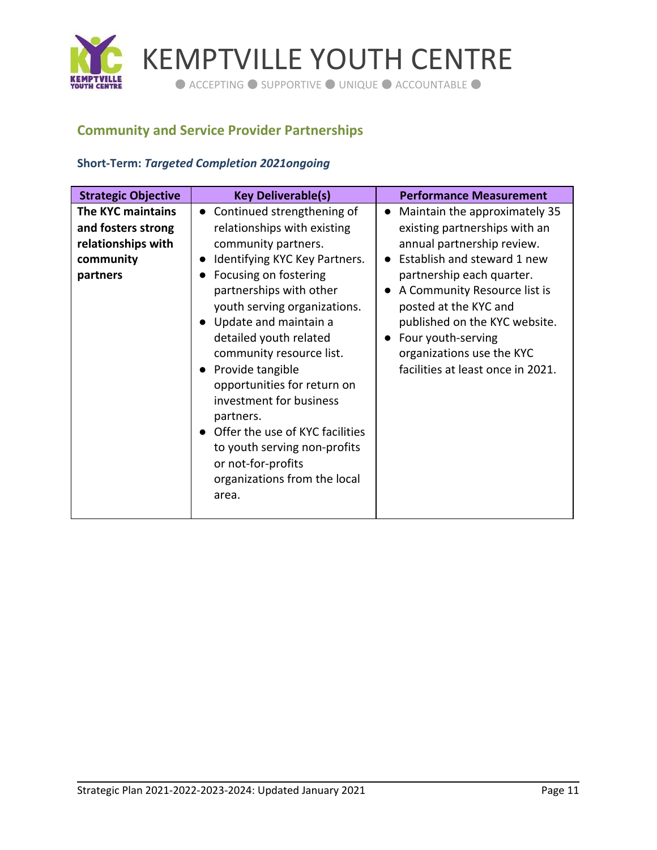

## <span id="page-10-0"></span>**Community and Service Provider Partnerships**

#### **Short-Term:** *Targeted Completion 2021ongoing*

| <b>Strategic Objective</b>                                                             | <b>Key Deliverable(s)</b>                                                                                                                                                                                                                                                                                                                                                                                                                                                                                                                         | <b>Performance Measurement</b>                                                                                                                                                                                                                                                                                                             |
|----------------------------------------------------------------------------------------|---------------------------------------------------------------------------------------------------------------------------------------------------------------------------------------------------------------------------------------------------------------------------------------------------------------------------------------------------------------------------------------------------------------------------------------------------------------------------------------------------------------------------------------------------|--------------------------------------------------------------------------------------------------------------------------------------------------------------------------------------------------------------------------------------------------------------------------------------------------------------------------------------------|
| The KYC maintains<br>and fosters strong<br>relationships with<br>community<br>partners | Continued strengthening of<br>$\bullet$<br>relationships with existing<br>community partners.<br>Identifying KYC Key Partners.<br>Focusing on fostering<br>$\bullet$<br>partnerships with other<br>youth serving organizations.<br>• Update and maintain a<br>detailed youth related<br>community resource list.<br>• Provide tangible<br>opportunities for return on<br>investment for business<br>partners.<br>• Offer the use of KYC facilities<br>to youth serving non-profits<br>or not-for-profits<br>organizations from the local<br>area. | Maintain the approximately 35<br>existing partnerships with an<br>annual partnership review.<br>Establish and steward 1 new<br>partnership each quarter.<br>A Community Resource list is<br>posted at the KYC and<br>published on the KYC website.<br>Four youth-serving<br>organizations use the KYC<br>facilities at least once in 2021. |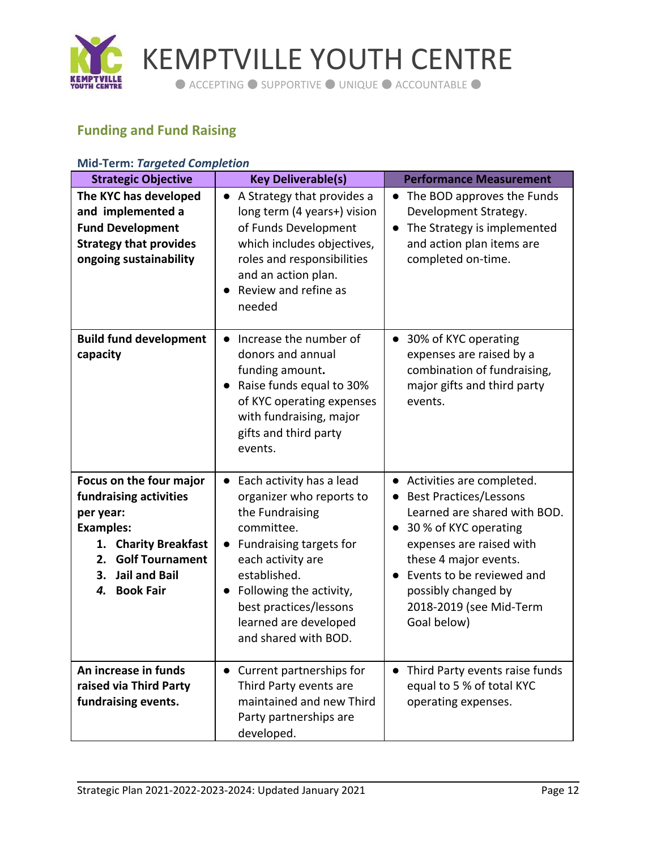

# <span id="page-11-0"></span>**Funding and Fund Raising**

| Miu-Terni. <i>Turgeted Completion</i>                                                                                                                                                              |                                                                                                                                                                                                                                                                          |                                                                                                                                                                                                                                                                                                  |
|----------------------------------------------------------------------------------------------------------------------------------------------------------------------------------------------------|--------------------------------------------------------------------------------------------------------------------------------------------------------------------------------------------------------------------------------------------------------------------------|--------------------------------------------------------------------------------------------------------------------------------------------------------------------------------------------------------------------------------------------------------------------------------------------------|
| <b>Strategic Objective</b>                                                                                                                                                                         | <b>Key Deliverable(s)</b>                                                                                                                                                                                                                                                | <b>Performance Measurement</b>                                                                                                                                                                                                                                                                   |
| The KYC has developed<br>and implemented a<br><b>Fund Development</b><br><b>Strategy that provides</b><br>ongoing sustainability                                                                   | A Strategy that provides a<br>$\bullet$<br>long term (4 years+) vision<br>of Funds Development<br>which includes objectives,<br>roles and responsibilities<br>and an action plan.<br>Review and refine as<br>needed                                                      | The BOD approves the Funds<br>$\bullet$<br>Development Strategy.<br>The Strategy is implemented<br>$\bullet$<br>and action plan items are<br>completed on-time.                                                                                                                                  |
| <b>Build fund development</b><br>capacity                                                                                                                                                          | Increase the number of<br>donors and annual<br>funding amount.<br>Raise funds equal to 30%<br>of KYC operating expenses<br>with fundraising, major<br>gifts and third party<br>events.                                                                                   | 30% of KYC operating<br>expenses are raised by a<br>combination of fundraising,<br>major gifts and third party<br>events.                                                                                                                                                                        |
| Focus on the four major<br>fundraising activities<br>per year:<br><b>Examples:</b><br>1. Charity Breakfast<br><b>Golf Tournament</b><br>2.<br>3.<br><b>Jail and Bail</b><br><b>Book Fair</b><br>4. | Each activity has a lead<br>organizer who reports to<br>the Fundraising<br>committee.<br>Fundraising targets for<br>$\bullet$<br>each activity are<br>established.<br>Following the activity,<br>best practices/lessons<br>learned are developed<br>and shared with BOD. | Activities are completed.<br><b>Best Practices/Lessons</b><br>$\bullet$<br>Learned are shared with BOD.<br>30 % of KYC operating<br>$\bullet$<br>expenses are raised with<br>these 4 major events.<br>Events to be reviewed and<br>possibly changed by<br>2018-2019 (see Mid-Term<br>Goal below) |
| An increase in funds<br>raised via Third Party<br>fundraising events.                                                                                                                              | • Current partnerships for<br>Third Party events are<br>maintained and new Third<br>Party partnerships are<br>developed.                                                                                                                                                 | Third Party events raise funds<br>$\bullet$<br>equal to 5 % of total KYC<br>operating expenses.                                                                                                                                                                                                  |

#### **Mid-Term:** *Targeted Completion*